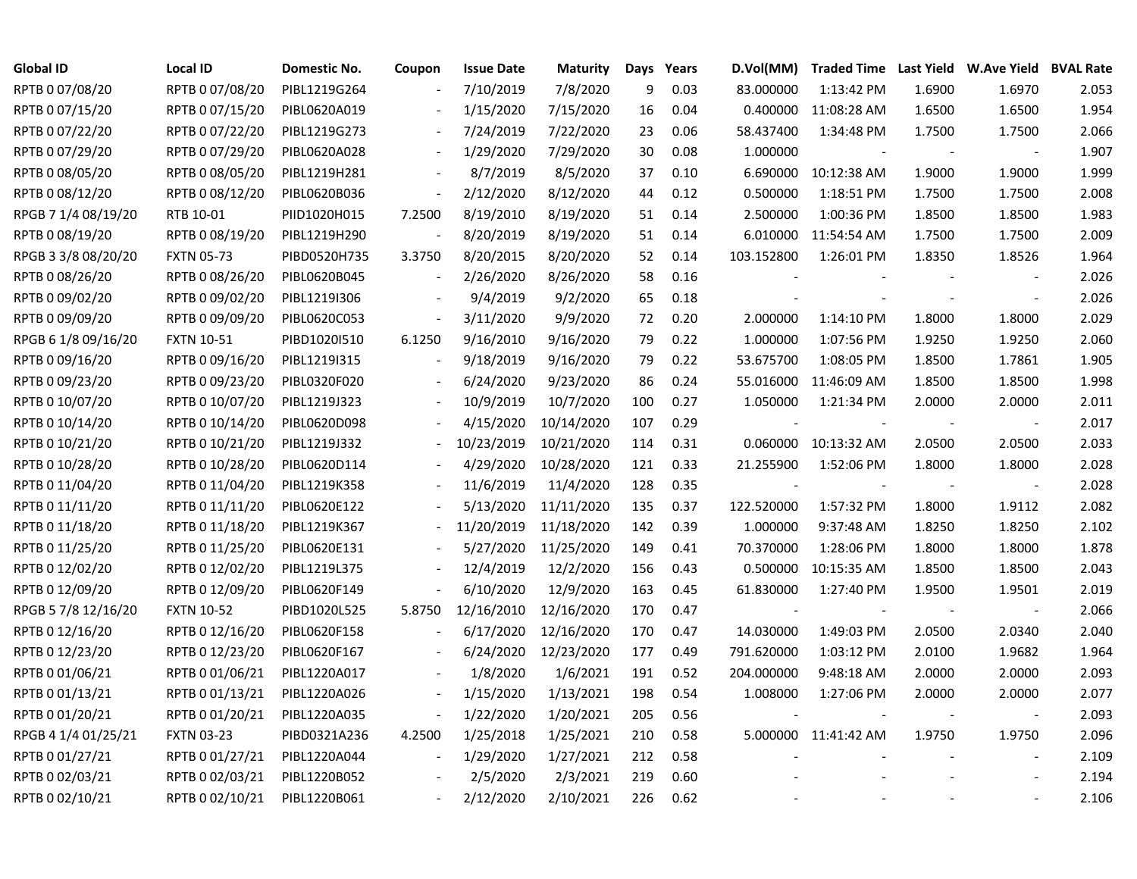| Global ID           | Local ID          | Domestic No. | Coupon                   | <b>Issue Date</b> | Maturity   | Days | Years |                          | D.Vol(MM) Traded Time Last Yield W.Ave Yield BVAL Rate |        |                          |       |
|---------------------|-------------------|--------------|--------------------------|-------------------|------------|------|-------|--------------------------|--------------------------------------------------------|--------|--------------------------|-------|
| RPTB 0 07/08/20     | RPTB 0 07/08/20   | PIBL1219G264 |                          | 7/10/2019         | 7/8/2020   | 9    | 0.03  | 83.000000                | 1:13:42 PM                                             | 1.6900 | 1.6970                   | 2.053 |
| RPTB 0 07/15/20     | RPTB 0 07/15/20   | PIBL0620A019 |                          | 1/15/2020         | 7/15/2020  | 16   | 0.04  |                          | 0.400000 11:08:28 AM                                   | 1.6500 | 1.6500                   | 1.954 |
| RPTB 0 07/22/20     | RPTB 0 07/22/20   | PIBL1219G273 |                          | 7/24/2019         | 7/22/2020  | 23   | 0.06  | 58.437400                | 1:34:48 PM                                             | 1.7500 | 1.7500                   | 2.066 |
| RPTB 0 07/29/20     | RPTB 0 07/29/20   | PIBL0620A028 |                          | 1/29/2020         | 7/29/2020  | 30   | 0.08  | 1.000000                 |                                                        |        | $\overline{\phantom{a}}$ | 1.907 |
| RPTB 0 08/05/20     | RPTB 0 08/05/20   | PIBL1219H281 | $\overline{\phantom{a}}$ | 8/7/2019          | 8/5/2020   | 37   | 0.10  |                          | 6.690000 10:12:38 AM                                   | 1.9000 | 1.9000                   | 1.999 |
| RPTB 0 08/12/20     | RPTB 0 08/12/20   | PIBL0620B036 | $\blacksquare$           | 2/12/2020         | 8/12/2020  | 44   | 0.12  | 0.500000                 | 1:18:51 PM                                             | 1.7500 | 1.7500                   | 2.008 |
| RPGB 7 1/4 08/19/20 | RTB 10-01         | PIID1020H015 | 7.2500                   | 8/19/2010         | 8/19/2020  | 51   | 0.14  | 2.500000                 | 1:00:36 PM                                             | 1.8500 | 1.8500                   | 1.983 |
| RPTB 0 08/19/20     | RPTB 0 08/19/20   | PIBL1219H290 |                          | 8/20/2019         | 8/19/2020  | 51   | 0.14  | 6.010000                 | 11:54:54 AM                                            | 1.7500 | 1.7500                   | 2.009 |
| RPGB 3 3/8 08/20/20 | <b>FXTN 05-73</b> | PIBD0520H735 | 3.3750                   | 8/20/2015         | 8/20/2020  | 52   | 0.14  | 103.152800               | 1:26:01 PM                                             | 1.8350 | 1.8526                   | 1.964 |
| RPTB 0 08/26/20     | RPTB 0 08/26/20   | PIBL0620B045 | $\blacksquare$           | 2/26/2020         | 8/26/2020  | 58   | 0.16  |                          |                                                        |        |                          | 2.026 |
| RPTB 0 09/02/20     | RPTB 0 09/02/20   | PIBL1219I306 |                          | 9/4/2019          | 9/2/2020   | 65   | 0.18  |                          |                                                        |        |                          | 2.026 |
| RPTB 0 09/09/20     | RPTB 0 09/09/20   | PIBL0620C053 | $\overline{\phantom{a}}$ | 3/11/2020         | 9/9/2020   | 72   | 0.20  | 2.000000                 | 1:14:10 PM                                             | 1.8000 | 1.8000                   | 2.029 |
| RPGB 6 1/8 09/16/20 | <b>FXTN 10-51</b> | PIBD1020I510 | 6.1250                   | 9/16/2010         | 9/16/2020  | 79   | 0.22  | 1.000000                 | 1:07:56 PM                                             | 1.9250 | 1.9250                   | 2.060 |
| RPTB 0 09/16/20     | RPTB 0 09/16/20   | PIBL1219I315 |                          | 9/18/2019         | 9/16/2020  | 79   | 0.22  | 53.675700                | 1:08:05 PM                                             | 1.8500 | 1.7861                   | 1.905 |
| RPTB 0 09/23/20     | RPTB 0 09/23/20   | PIBL0320F020 |                          | 6/24/2020         | 9/23/2020  | 86   | 0.24  |                          | 55.016000 11:46:09 AM                                  | 1.8500 | 1.8500                   | 1.998 |
| RPTB 0 10/07/20     | RPTB 0 10/07/20   | PIBL1219J323 |                          | 10/9/2019         | 10/7/2020  | 100  | 0.27  | 1.050000                 | 1:21:34 PM                                             | 2.0000 | 2.0000                   | 2.011 |
| RPTB 0 10/14/20     | RPTB 0 10/14/20   | PIBL0620D098 |                          | 4/15/2020         | 10/14/2020 | 107  | 0.29  |                          |                                                        |        |                          | 2.017 |
| RPTB 0 10/21/20     | RPTB 0 10/21/20   | PIBL1219J332 |                          | 10/23/2019        | 10/21/2020 | 114  | 0.31  |                          | 0.060000 10:13:32 AM                                   | 2.0500 | 2.0500                   | 2.033 |
| RPTB 0 10/28/20     | RPTB 0 10/28/20   | PIBL0620D114 |                          | 4/29/2020         | 10/28/2020 | 121  | 0.33  | 21.255900                | 1:52:06 PM                                             | 1.8000 | 1.8000                   | 2.028 |
| RPTB 0 11/04/20     | RPTB 0 11/04/20   | PIBL1219K358 |                          | 11/6/2019         | 11/4/2020  | 128  | 0.35  | $\overline{\phantom{a}}$ |                                                        |        | $\sim$                   | 2.028 |
| RPTB 0 11/11/20     | RPTB 0 11/11/20   | PIBL0620E122 |                          | 5/13/2020         | 11/11/2020 | 135  | 0.37  | 122.520000               | 1:57:32 PM                                             | 1.8000 | 1.9112                   | 2.082 |
| RPTB 0 11/18/20     | RPTB 0 11/18/20   | PIBL1219K367 |                          | 11/20/2019        | 11/18/2020 | 142  | 0.39  | 1.000000                 | 9:37:48 AM                                             | 1.8250 | 1.8250                   | 2.102 |
| RPTB 0 11/25/20     | RPTB 0 11/25/20   | PIBL0620E131 |                          | 5/27/2020         | 11/25/2020 | 149  | 0.41  | 70.370000                | 1:28:06 PM                                             | 1.8000 | 1.8000                   | 1.878 |
| RPTB 0 12/02/20     | RPTB 0 12/02/20   | PIBL1219L375 | $\overline{\phantom{a}}$ | 12/4/2019         | 12/2/2020  | 156  | 0.43  | 0.500000                 | 10:15:35 AM                                            | 1.8500 | 1.8500                   | 2.043 |
| RPTB 0 12/09/20     | RPTB 0 12/09/20   | PIBL0620F149 | $\overline{\phantom{a}}$ | 6/10/2020         | 12/9/2020  | 163  | 0.45  | 61.830000                | 1:27:40 PM                                             | 1.9500 | 1.9501                   | 2.019 |
| RPGB 5 7/8 12/16/20 | <b>FXTN 10-52</b> | PIBD1020L525 | 5.8750                   | 12/16/2010        | 12/16/2020 | 170  | 0.47  |                          |                                                        |        |                          | 2.066 |
| RPTB 0 12/16/20     | RPTB 0 12/16/20   | PIBL0620F158 |                          | 6/17/2020         | 12/16/2020 | 170  | 0.47  | 14.030000                | 1:49:03 PM                                             | 2.0500 | 2.0340                   | 2.040 |
| RPTB 0 12/23/20     | RPTB 0 12/23/20   | PIBL0620F167 |                          | 6/24/2020         | 12/23/2020 | 177  | 0.49  | 791.620000               | 1:03:12 PM                                             | 2.0100 | 1.9682                   | 1.964 |
| RPTB 0 01/06/21     | RPTB 0 01/06/21   | PIBL1220A017 |                          | 1/8/2020          | 1/6/2021   | 191  | 0.52  | 204.000000               | 9:48:18 AM                                             | 2.0000 | 2.0000                   | 2.093 |
| RPTB 0 01/13/21     | RPTB 0 01/13/21   | PIBL1220A026 |                          | 1/15/2020         | 1/13/2021  | 198  | 0.54  | 1.008000                 | 1:27:06 PM                                             | 2.0000 | 2.0000                   | 2.077 |
| RPTB 0 01/20/21     | RPTB 0 01/20/21   | PIBL1220A035 |                          | 1/22/2020         | 1/20/2021  | 205  | 0.56  |                          |                                                        |        |                          | 2.093 |
| RPGB 4 1/4 01/25/21 | <b>FXTN 03-23</b> | PIBD0321A236 | 4.2500                   | 1/25/2018         | 1/25/2021  | 210  | 0.58  |                          | 5.000000 11:41:42 AM                                   | 1.9750 | 1.9750                   | 2.096 |
| RPTB 0 01/27/21     | RPTB 0 01/27/21   | PIBL1220A044 |                          | 1/29/2020         | 1/27/2021  | 212  | 0.58  |                          |                                                        |        |                          | 2.109 |
| RPTB 0 02/03/21     | RPTB 0 02/03/21   | PIBL1220B052 |                          | 2/5/2020          | 2/3/2021   | 219  | 0.60  |                          |                                                        |        |                          | 2.194 |
| RPTB 0 02/10/21     | RPTB 0 02/10/21   | PIBL1220B061 |                          | 2/12/2020         | 2/10/2021  | 226  | 0.62  |                          |                                                        |        |                          | 2.106 |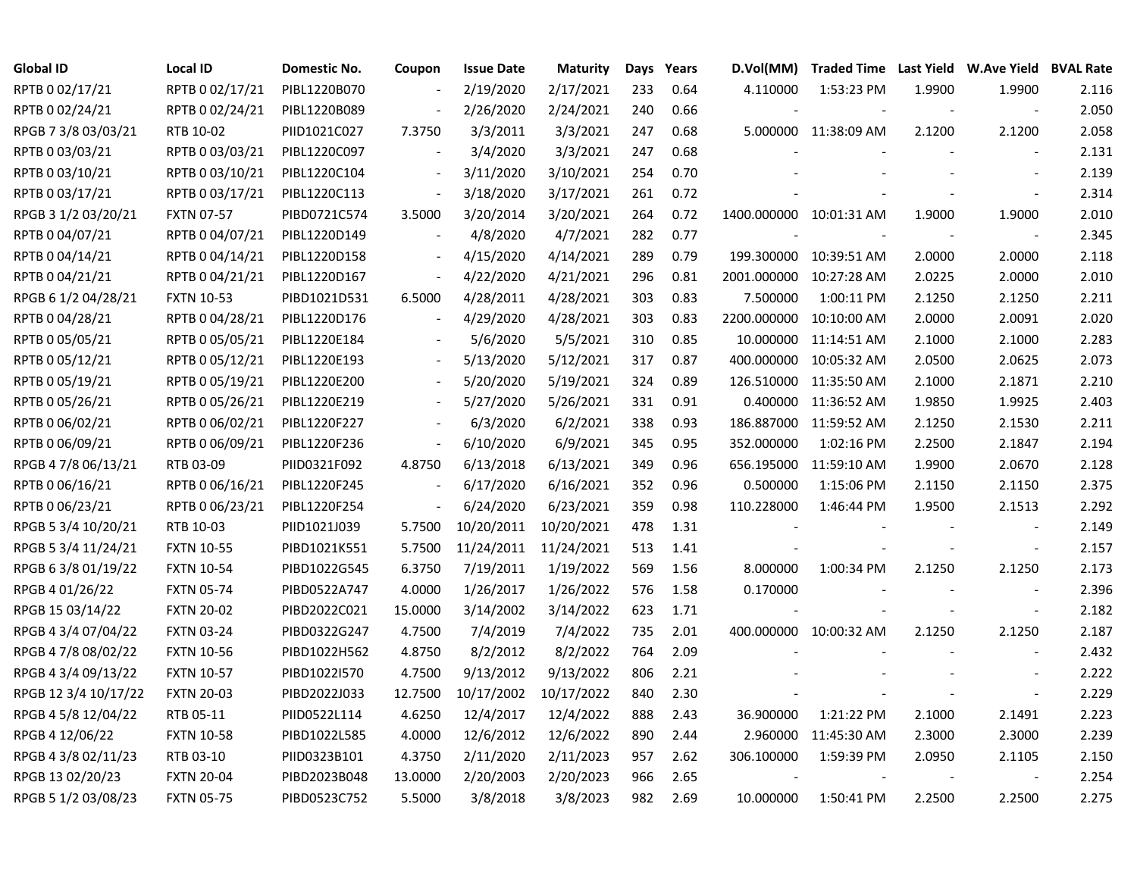| <b>Global ID</b>     | <b>Local ID</b>   | Domestic No. | Coupon                   | <b>Issue Date</b> | <b>Maturity</b> | Days | Years | D.Vol(MM)  | Traded Time Last Yield W.Ave Yield BVAL Rate |        |                          |       |
|----------------------|-------------------|--------------|--------------------------|-------------------|-----------------|------|-------|------------|----------------------------------------------|--------|--------------------------|-------|
| RPTB 0 02/17/21      | RPTB 0 02/17/21   | PIBL1220B070 |                          | 2/19/2020         | 2/17/2021       | 233  | 0.64  | 4.110000   | 1:53:23 PM                                   | 1.9900 | 1.9900                   | 2.116 |
| RPTB 0 02/24/21      | RPTB 0 02/24/21   | PIBL1220B089 |                          | 2/26/2020         | 2/24/2021       | 240  | 0.66  |            |                                              |        |                          | 2.050 |
| RPGB 7 3/8 03/03/21  | RTB 10-02         | PIID1021C027 | 7.3750                   | 3/3/2011          | 3/3/2021        | 247  | 0.68  |            | 5.000000 11:38:09 AM                         | 2.1200 | 2.1200                   | 2.058 |
| RPTB 0 03/03/21      | RPTB 0 03/03/21   | PIBL1220C097 |                          | 3/4/2020          | 3/3/2021        | 247  | 0.68  |            |                                              |        | $\overline{\phantom{a}}$ | 2.131 |
| RPTB 0 03/10/21      | RPTB 0 03/10/21   | PIBL1220C104 | $\blacksquare$           | 3/11/2020         | 3/10/2021       | 254  | 0.70  |            |                                              |        | $\overline{\phantom{a}}$ | 2.139 |
| RPTB 0 03/17/21      | RPTB 0 03/17/21   | PIBL1220C113 |                          | 3/18/2020         | 3/17/2021       | 261  | 0.72  |            |                                              |        | $\overline{\phantom{a}}$ | 2.314 |
| RPGB 3 1/2 03/20/21  | <b>FXTN 07-57</b> | PIBD0721C574 | 3.5000                   | 3/20/2014         | 3/20/2021       | 264  | 0.72  |            | 1400.000000 10:01:31 AM                      | 1.9000 | 1.9000                   | 2.010 |
| RPTB 0 04/07/21      | RPTB 0 04/07/21   | PIBL1220D149 |                          | 4/8/2020          | 4/7/2021        | 282  | 0.77  |            |                                              |        | $\sim$                   | 2.345 |
| RPTB 0 04/14/21      | RPTB 0 04/14/21   | PIBL1220D158 |                          | 4/15/2020         | 4/14/2021       | 289  | 0.79  |            | 199.300000 10:39:51 AM                       | 2.0000 | 2.0000                   | 2.118 |
| RPTB 0 04/21/21      | RPTB 0 04/21/21   | PIBL1220D167 |                          | 4/22/2020         | 4/21/2021       | 296  | 0.81  |            | 2001.000000 10:27:28 AM                      | 2.0225 | 2.0000                   | 2.010 |
| RPGB 6 1/2 04/28/21  | <b>FXTN 10-53</b> | PIBD1021D531 | 6.5000                   | 4/28/2011         | 4/28/2021       | 303  | 0.83  | 7.500000   | 1:00:11 PM                                   | 2.1250 | 2.1250                   | 2.211 |
| RPTB 0 04/28/21      | RPTB 0 04/28/21   | PIBL1220D176 |                          | 4/29/2020         | 4/28/2021       | 303  | 0.83  |            | 2200.000000 10:10:00 AM                      | 2.0000 | 2.0091                   | 2.020 |
| RPTB 0 05/05/21      | RPTB 0 05/05/21   | PIBL1220E184 |                          | 5/6/2020          | 5/5/2021        | 310  | 0.85  |            | 10.000000 11:14:51 AM                        | 2.1000 | 2.1000                   | 2.283 |
| RPTB 0 05/12/21      | RPTB 0 05/12/21   | PIBL1220E193 |                          | 5/13/2020         | 5/12/2021       | 317  | 0.87  |            | 400.000000 10:05:32 AM                       | 2.0500 | 2.0625                   | 2.073 |
| RPTB 0 05/19/21      | RPTB 0 05/19/21   | PIBL1220E200 |                          | 5/20/2020         | 5/19/2021       | 324  | 0.89  |            | 126.510000 11:35:50 AM                       | 2.1000 | 2.1871                   | 2.210 |
| RPTB 0 05/26/21      | RPTB 0 05/26/21   | PIBL1220E219 |                          | 5/27/2020         | 5/26/2021       | 331  | 0.91  |            | 0.400000 11:36:52 AM                         | 1.9850 | 1.9925                   | 2.403 |
| RPTB 0 06/02/21      | RPTB 0 06/02/21   | PIBL1220F227 | $\overline{\phantom{a}}$ | 6/3/2020          | 6/2/2021        | 338  | 0.93  |            | 186.887000 11:59:52 AM                       | 2.1250 | 2.1530                   | 2.211 |
| RPTB 0 06/09/21      | RPTB 0 06/09/21   | PIBL1220F236 | $\blacksquare$           | 6/10/2020         | 6/9/2021        | 345  | 0.95  | 352.000000 | 1:02:16 PM                                   | 2.2500 | 2.1847                   | 2.194 |
| RPGB 4 7/8 06/13/21  | RTB 03-09         | PIID0321F092 | 4.8750                   | 6/13/2018         | 6/13/2021       | 349  | 0.96  |            | 656.195000 11:59:10 AM                       | 1.9900 | 2.0670                   | 2.128 |
| RPTB 0 06/16/21      | RPTB 0 06/16/21   | PIBL1220F245 |                          | 6/17/2020         | 6/16/2021       | 352  | 0.96  | 0.500000   | 1:15:06 PM                                   | 2.1150 | 2.1150                   | 2.375 |
| RPTB 0 06/23/21      | RPTB 0 06/23/21   | PIBL1220F254 |                          | 6/24/2020         | 6/23/2021       | 359  | 0.98  | 110.228000 | 1:46:44 PM                                   | 1.9500 | 2.1513                   | 2.292 |
| RPGB 5 3/4 10/20/21  | RTB 10-03         | PIID1021J039 | 5.7500                   | 10/20/2011        | 10/20/2021      | 478  | 1.31  |            |                                              |        | $\blacksquare$           | 2.149 |
| RPGB 5 3/4 11/24/21  | <b>FXTN 10-55</b> | PIBD1021K551 | 5.7500                   | 11/24/2011        | 11/24/2021      | 513  | 1.41  |            |                                              |        | $\blacksquare$           | 2.157 |
| RPGB 6 3/8 01/19/22  | <b>FXTN 10-54</b> | PIBD1022G545 | 6.3750                   | 7/19/2011         | 1/19/2022       | 569  | 1.56  | 8.000000   | 1:00:34 PM                                   | 2.1250 | 2.1250                   | 2.173 |
| RPGB 4 01/26/22      | <b>FXTN 05-74</b> | PIBD0522A747 | 4.0000                   | 1/26/2017         | 1/26/2022       | 576  | 1.58  | 0.170000   |                                              |        | $\sim$                   | 2.396 |
| RPGB 15 03/14/22     | <b>FXTN 20-02</b> | PIBD2022C021 | 15.0000                  | 3/14/2002         | 3/14/2022       | 623  | 1.71  |            |                                              |        | $\blacksquare$           | 2.182 |
| RPGB 4 3/4 07/04/22  | <b>FXTN 03-24</b> | PIBD0322G247 | 4.7500                   | 7/4/2019          | 7/4/2022        | 735  | 2.01  |            | 400.000000 10:00:32 AM                       | 2.1250 | 2.1250                   | 2.187 |
| RPGB 4 7/8 08/02/22  | <b>FXTN 10-56</b> | PIBD1022H562 | 4.8750                   | 8/2/2012          | 8/2/2022        | 764  | 2.09  |            |                                              |        |                          | 2.432 |
| RPGB 4 3/4 09/13/22  | <b>FXTN 10-57</b> | PIBD1022I570 | 4.7500                   | 9/13/2012         | 9/13/2022       | 806  | 2.21  |            |                                              |        |                          | 2.222 |
| RPGB 12 3/4 10/17/22 | <b>FXTN 20-03</b> | PIBD2022J033 | 12.7500                  | 10/17/2002        | 10/17/2022      | 840  | 2.30  |            |                                              |        | $\overline{\phantom{a}}$ | 2.229 |
| RPGB 4 5/8 12/04/22  | RTB 05-11         | PIID0522L114 | 4.6250                   | 12/4/2017         | 12/4/2022       | 888  | 2.43  | 36.900000  | 1:21:22 PM                                   | 2.1000 | 2.1491                   | 2.223 |
| RPGB 4 12/06/22      | <b>FXTN 10-58</b> | PIBD1022L585 | 4.0000                   | 12/6/2012         | 12/6/2022       | 890  | 2.44  |            | 2.960000 11:45:30 AM                         | 2.3000 | 2.3000                   | 2.239 |
| RPGB 4 3/8 02/11/23  | RTB 03-10         | PIID0323B101 | 4.3750                   | 2/11/2020         | 2/11/2023       | 957  | 2.62  | 306.100000 | 1:59:39 PM                                   | 2.0950 | 2.1105                   | 2.150 |
| RPGB 13 02/20/23     | <b>FXTN 20-04</b> | PIBD2023B048 | 13.0000                  | 2/20/2003         | 2/20/2023       | 966  | 2.65  |            |                                              |        |                          | 2.254 |
| RPGB 5 1/2 03/08/23  | <b>FXTN 05-75</b> | PIBD0523C752 | 5.5000                   | 3/8/2018          | 3/8/2023        | 982  | 2.69  | 10.000000  | 1:50:41 PM                                   | 2.2500 | 2.2500                   | 2.275 |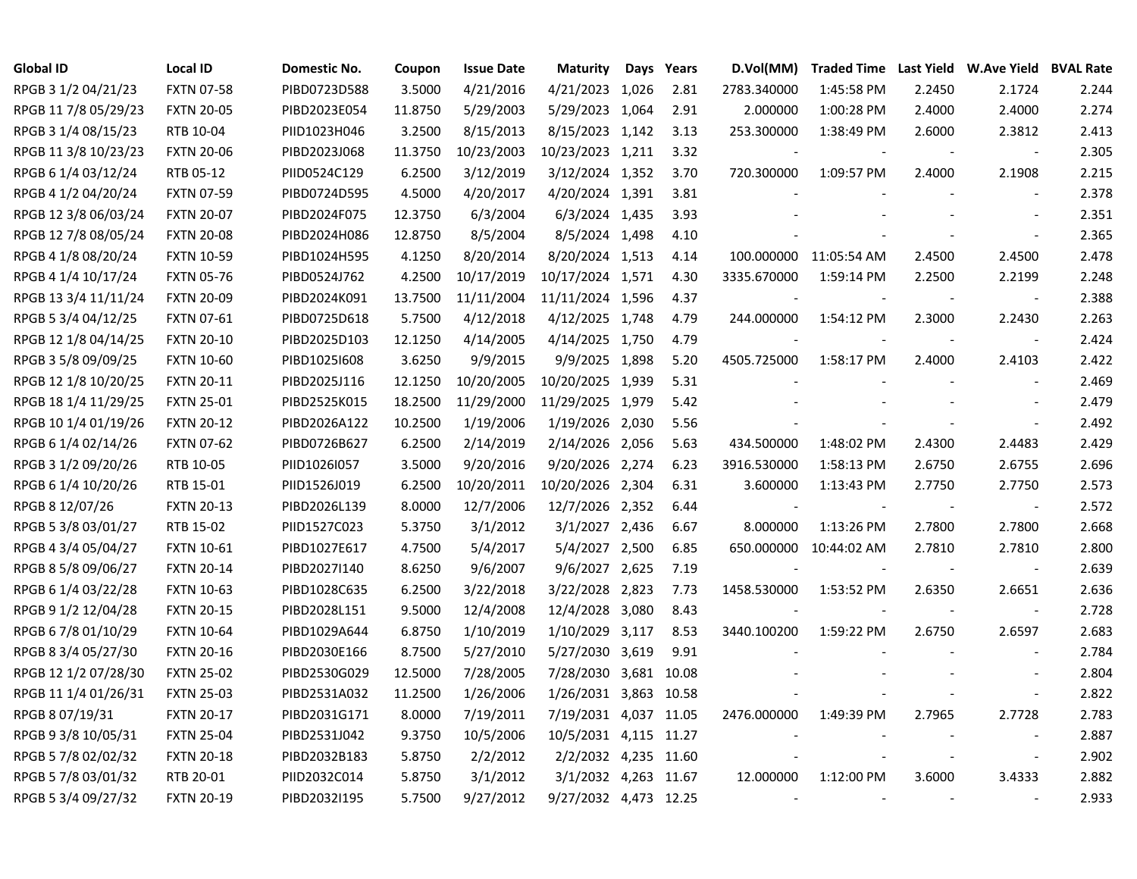| Global ID            | <b>Local ID</b>   | Domestic No. | Coupon  | <b>Issue Date</b> | <b>Maturity</b>       | Days | Years | D.Vol(MM)                | Traded Time Last Yield W.Ave Yield BVAL Rate |                |                          |       |
|----------------------|-------------------|--------------|---------|-------------------|-----------------------|------|-------|--------------------------|----------------------------------------------|----------------|--------------------------|-------|
| RPGB 3 1/2 04/21/23  | <b>FXTN 07-58</b> | PIBD0723D588 | 3.5000  | 4/21/2016         | 4/21/2023 1,026       |      | 2.81  | 2783.340000              | 1:45:58 PM                                   | 2.2450         | 2.1724                   | 2.244 |
| RPGB 11 7/8 05/29/23 | <b>FXTN 20-05</b> | PIBD2023E054 | 11.8750 | 5/29/2003         | 5/29/2023 1,064       |      | 2.91  | 2.000000                 | 1:00:28 PM                                   | 2.4000         | 2.4000                   | 2.274 |
| RPGB 3 1/4 08/15/23  | RTB 10-04         | PIID1023H046 | 3.2500  | 8/15/2013         | 8/15/2023 1,142       |      | 3.13  | 253.300000               | 1:38:49 PM                                   | 2.6000         | 2.3812                   | 2.413 |
| RPGB 11 3/8 10/23/23 | <b>FXTN 20-06</b> | PIBD2023J068 | 11.3750 | 10/23/2003        | 10/23/2023 1,211      |      | 3.32  |                          |                                              |                | $\overline{\phantom{a}}$ | 2.305 |
| RPGB 6 1/4 03/12/24  | RTB 05-12         | PIID0524C129 | 6.2500  | 3/12/2019         | 3/12/2024 1,352       |      | 3.70  | 720.300000               | 1:09:57 PM                                   | 2.4000         | 2.1908                   | 2.215 |
| RPGB 4 1/2 04/20/24  | <b>FXTN 07-59</b> | PIBD0724D595 | 4.5000  | 4/20/2017         | 4/20/2024 1,391       |      | 3.81  |                          |                                              |                | $\blacksquare$           | 2.378 |
| RPGB 12 3/8 06/03/24 | <b>FXTN 20-07</b> | PIBD2024F075 | 12.3750 | 6/3/2004          | 6/3/2024 1,435        |      | 3.93  |                          |                                              |                | $\overline{\phantom{a}}$ | 2.351 |
| RPGB 12 7/8 08/05/24 | <b>FXTN 20-08</b> | PIBD2024H086 | 12.8750 | 8/5/2004          | 8/5/2024 1,498        |      | 4.10  |                          |                                              |                | $\overline{\phantom{a}}$ | 2.365 |
| RPGB 4 1/8 08/20/24  | <b>FXTN 10-59</b> | PIBD1024H595 | 4.1250  | 8/20/2014         | 8/20/2024 1,513       |      | 4.14  |                          | 100.000000 11:05:54 AM                       | 2.4500         | 2.4500                   | 2.478 |
| RPGB 4 1/4 10/17/24  | <b>FXTN 05-76</b> | PIBD0524J762 | 4.2500  | 10/17/2019        | 10/17/2024 1,571      |      | 4.30  | 3335.670000              | 1:59:14 PM                                   | 2.2500         | 2.2199                   | 2.248 |
| RPGB 13 3/4 11/11/24 | <b>FXTN 20-09</b> | PIBD2024K091 | 13.7500 | 11/11/2004        | 11/11/2024 1,596      |      | 4.37  |                          |                                              |                | $\overline{\phantom{a}}$ | 2.388 |
| RPGB 5 3/4 04/12/25  | <b>FXTN 07-61</b> | PIBD0725D618 | 5.7500  | 4/12/2018         | 4/12/2025 1,748       |      | 4.79  | 244.000000               | 1:54:12 PM                                   | 2.3000         | 2.2430                   | 2.263 |
| RPGB 12 1/8 04/14/25 | <b>FXTN 20-10</b> | PIBD2025D103 | 12.1250 | 4/14/2005         | 4/14/2025 1,750       |      | 4.79  |                          |                                              |                | $\overline{\phantom{a}}$ | 2.424 |
| RPGB 3 5/8 09/09/25  | <b>FXTN 10-60</b> | PIBD1025I608 | 3.6250  | 9/9/2015          | 9/9/2025 1,898        |      | 5.20  | 4505.725000              | 1:58:17 PM                                   | 2.4000         | 2.4103                   | 2.422 |
| RPGB 12 1/8 10/20/25 | <b>FXTN 20-11</b> | PIBD2025J116 | 12.1250 | 10/20/2005        | 10/20/2025 1,939      |      | 5.31  |                          |                                              |                |                          | 2.469 |
| RPGB 18 1/4 11/29/25 | <b>FXTN 25-01</b> | PIBD2525K015 | 18.2500 | 11/29/2000        | 11/29/2025 1,979      |      | 5.42  |                          |                                              |                |                          | 2.479 |
| RPGB 10 1/4 01/19/26 | <b>FXTN 20-12</b> | PIBD2026A122 | 10.2500 | 1/19/2006         | 1/19/2026 2,030       |      | 5.56  |                          |                                              |                | $\overline{\phantom{a}}$ | 2.492 |
| RPGB 6 1/4 02/14/26  | <b>FXTN 07-62</b> | PIBD0726B627 | 6.2500  | 2/14/2019         | 2/14/2026 2,056       |      | 5.63  | 434.500000               | 1:48:02 PM                                   | 2.4300         | 2.4483                   | 2.429 |
| RPGB 3 1/2 09/20/26  | RTB 10-05         | PIID1026I057 | 3.5000  | 9/20/2016         | 9/20/2026 2,274       |      | 6.23  | 3916.530000              | 1:58:13 PM                                   | 2.6750         | 2.6755                   | 2.696 |
| RPGB 6 1/4 10/20/26  | RTB 15-01         | PIID1526J019 | 6.2500  | 10/20/2011        | 10/20/2026 2,304      |      | 6.31  | 3.600000                 | 1:13:43 PM                                   | 2.7750         | 2.7750                   | 2.573 |
| RPGB 8 12/07/26      | <b>FXTN 20-13</b> | PIBD2026L139 | 8.0000  | 12/7/2006         | 12/7/2026 2,352       |      | 6.44  |                          |                                              |                | $\overline{\phantom{a}}$ | 2.572 |
| RPGB 5 3/8 03/01/27  | RTB 15-02         | PIID1527C023 | 5.3750  | 3/1/2012          | 3/1/2027 2,436        |      | 6.67  | 8.000000                 | 1:13:26 PM                                   | 2.7800         | 2.7800                   | 2.668 |
| RPGB 4 3/4 05/04/27  | <b>FXTN 10-61</b> | PIBD1027E617 | 4.7500  | 5/4/2017          | 5/4/2027 2,500        |      | 6.85  |                          | 650.000000 10:44:02 AM                       | 2.7810         | 2.7810                   | 2.800 |
| RPGB 8 5/8 09/06/27  | <b>FXTN 20-14</b> | PIBD2027I140 | 8.6250  | 9/6/2007          | 9/6/2027 2,625        |      | 7.19  |                          |                                              |                | $\overline{\phantom{a}}$ | 2.639 |
| RPGB 6 1/4 03/22/28  | <b>FXTN 10-63</b> | PIBD1028C635 | 6.2500  | 3/22/2018         | 3/22/2028 2,823       |      | 7.73  | 1458.530000              | 1:53:52 PM                                   | 2.6350         | 2.6651                   | 2.636 |
| RPGB 9 1/2 12/04/28  | <b>FXTN 20-15</b> | PIBD2028L151 | 9.5000  | 12/4/2008         | 12/4/2028 3,080       |      | 8.43  |                          |                                              |                | $\overline{\phantom{a}}$ | 2.728 |
| RPGB 6 7/8 01/10/29  | <b>FXTN 10-64</b> | PIBD1029A644 | 6.8750  | 1/10/2019         | 1/10/2029 3,117       |      | 8.53  | 3440.100200              | 1:59:22 PM                                   | 2.6750         | 2.6597                   | 2.683 |
| RPGB 8 3/4 05/27/30  | <b>FXTN 20-16</b> | PIBD2030E166 | 8.7500  | 5/27/2010         | 5/27/2030 3,619       |      | 9.91  |                          |                                              |                |                          | 2.784 |
| RPGB 12 1/2 07/28/30 | <b>FXTN 25-02</b> | PIBD2530G029 | 12.5000 | 7/28/2005         | 7/28/2030 3,681 10.08 |      |       |                          |                                              |                |                          | 2.804 |
| RPGB 11 1/4 01/26/31 | <b>FXTN 25-03</b> | PIBD2531A032 | 11.2500 | 1/26/2006         | 1/26/2031 3,863 10.58 |      |       |                          |                                              |                | $\overline{\phantom{a}}$ | 2.822 |
| RPGB 8 07/19/31      | <b>FXTN 20-17</b> | PIBD2031G171 | 8.0000  | 7/19/2011         | 7/19/2031 4,037 11.05 |      |       | 2476.000000              | 1:49:39 PM                                   | 2.7965         | 2.7728                   | 2.783 |
| RPGB 9 3/8 10/05/31  | <b>FXTN 25-04</b> | PIBD2531J042 | 9.3750  | 10/5/2006         | 10/5/2031 4,115 11.27 |      |       |                          |                                              |                | $\overline{\phantom{a}}$ | 2.887 |
| RPGB 5 7/8 02/02/32  | <b>FXTN 20-18</b> | PIBD2032B183 | 5.8750  | 2/2/2012          | 2/2/2032 4,235 11.60  |      |       |                          |                                              |                | $\blacksquare$           | 2.902 |
| RPGB 5 7/8 03/01/32  | RTB 20-01         | PIID2032C014 | 5.8750  | 3/1/2012          | 3/1/2032 4,263 11.67  |      |       | 12.000000                | 1:12:00 PM                                   | 3.6000         | 3.4333                   | 2.882 |
| RPGB 5 3/4 09/27/32  | <b>FXTN 20-19</b> | PIBD2032I195 | 5.7500  | 9/27/2012         | 9/27/2032 4,473 12.25 |      |       | $\overline{\phantom{a}}$ |                                              | $\blacksquare$ | $\sim$                   | 2.933 |